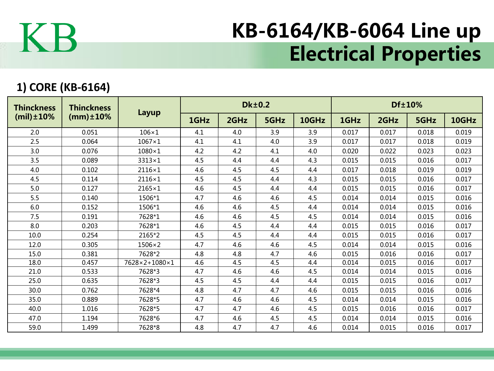

## KB-6164/KB-6064 Line up Electrical Properties

## **1) CORE (KB-6164)**

| <b>Thinckness</b><br>$(mil) \pm 10\%$ | <b>Thinckness</b><br>$(mm) \pm 10%$ | Layup         |      |      | <b>Dk±0.2</b> |       | Df±10% |       |       |       |  |
|---------------------------------------|-------------------------------------|---------------|------|------|---------------|-------|--------|-------|-------|-------|--|
|                                       |                                     |               | 1GHz | 2GHz | 5GHz          | 10GHz | 1GHz   | 2GHz  | 5GHz  | 10GHz |  |
| 2.0                                   | 0.051                               | $106\times1$  | 4.1  | 4.0  | 3.9           | 3.9   | 0.017  | 0.017 | 0.018 | 0.019 |  |
| 2.5                                   | 0.064                               | $1067\times1$ | 4.1  | 4.1  | 4.0           | 3.9   | 0.017  | 0.017 | 0.018 | 0.019 |  |
| 3.0                                   | 0.076                               | $1080\times1$ | 4.2  | 4.2  | 4.1           | 4.0   | 0.020  | 0.022 | 0.023 | 0.023 |  |
| 3.5                                   | 0.089                               | $3313\times1$ | 4.5  | 4.4  | 4.4           | 4.3   | 0.015  | 0.015 | 0.016 | 0.017 |  |
| 4.0                                   | 0.102                               | 2116×1        | 4.6  | 4.5  | 4.5           | 4.4   | 0.017  | 0.018 | 0.019 | 0.019 |  |
| 4.5                                   | 0.114                               | 2116×1        | 4.5  | 4.5  | 4.4           | 4.3   | 0.015  | 0.015 | 0.016 | 0.017 |  |
| 5.0                                   | 0.127                               | $2165\times1$ | 4.6  | 4.5  | 4.4           | 4.4   | 0.015  | 0.015 | 0.016 | 0.017 |  |
| 5.5                                   | 0.140                               | 1506*1        | 4.7  | 4.6  | 4.6           | 4.5   | 0.014  | 0.014 | 0.015 | 0.016 |  |
| 6.0                                   | 0.152                               | 1506*1        | 4.6  | 4.6  | 4.5           | 4.4   | 0.014  | 0.014 | 0.015 | 0.016 |  |
| 7.5                                   | 0.191                               | 7628*1        | 4.6  | 4.6  | 4.5           | 4.5   | 0.014  | 0.014 | 0.015 | 0.016 |  |
| 8.0                                   | 0.203                               | 7628*1        | 4.6  | 4.5  | 4.4           | 4.4   | 0.015  | 0.015 | 0.016 | 0.017 |  |
| 10.0                                  | 0.254                               | 2165*2        | 4.5  | 4.5  | 4.4           | 4.4   | 0.015  | 0.015 | 0.016 | 0.017 |  |
| 12.0                                  | 0.305                               | $1506\times2$ | 4.7  | 4.6  | 4.6           | 4.5   | 0.014  | 0.014 | 0.015 | 0.016 |  |
| 15.0                                  | 0.381                               | 7628*2        | 4.8  | 4.8  | 4.7           | 4.6   | 0.015  | 0.016 | 0.016 | 0.017 |  |
| 18.0                                  | 0.457                               | 7628×2+1080×1 | 4.6  | 4.5  | 4.5           | 4.4   | 0.014  | 0.015 | 0.016 | 0.017 |  |
| 21.0                                  | 0.533                               | 7628*3        | 4.7  | 4.6  | 4.6           | 4.5   | 0.014  | 0.014 | 0.015 | 0.016 |  |
| 25.0                                  | 0.635                               | 7628*3        | 4.5  | 4.5  | 4.4           | 4.4   | 0.015  | 0.015 | 0.016 | 0.017 |  |
| 30.0                                  | 0.762                               | 7628*4        | 4.8  | 4.7  | 4.7           | 4.6   | 0.015  | 0.015 | 0.016 | 0.016 |  |
| 35.0                                  | 0.889                               | 7628*5        | 4.7  | 4.6  | 4.6           | 4.5   | 0.014  | 0.014 | 0.015 | 0.016 |  |
| 40.0                                  | 1.016                               | 7628*5        | 4.7  | 4.7  | 4.6           | 4.5   | 0.015  | 0.016 | 0.016 | 0.017 |  |
| 47.0                                  | 1.194                               | 7628*6        | 4.7  | 4.6  | 4.5           | 4.5   | 0.014  | 0.014 | 0.015 | 0.016 |  |
| 59.0                                  | 1.499                               | 7628*8        | 4.8  | 4.7  | 4.7           | 4.6   | 0.014  | 0.015 | 0.016 | 0.017 |  |